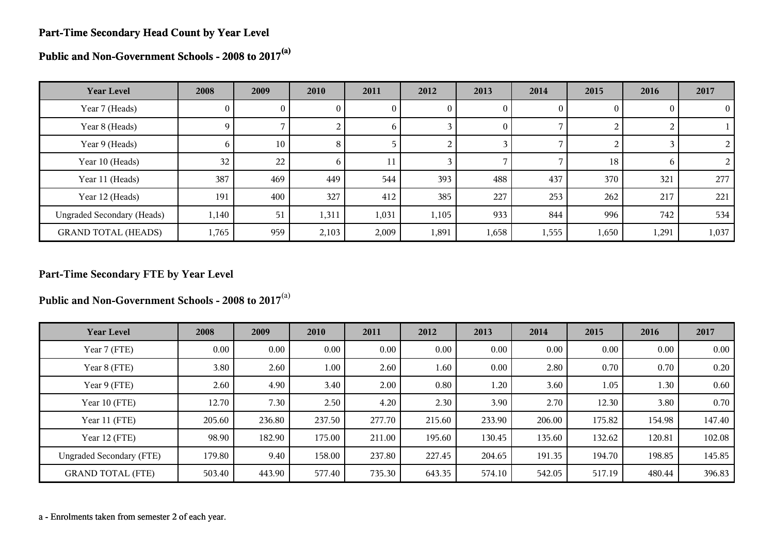#### **Part-Time Secondary Head Count by Year Level**

**Public and Non-Government Schools - 2008 to 2017(a)**

| <b>Year Level</b>                 | 2008           | 2009     | 2010     | 2011         | 2012         | 2013         | 2014  | 2015     | 2016  | 2017           |
|-----------------------------------|----------------|----------|----------|--------------|--------------|--------------|-------|----------|-------|----------------|
| Year 7 (Heads)                    | $\overline{0}$ | $\bf{0}$ | $\theta$ | U.           | $\mathbf{0}$ | 0            | 0     | $\theta$ |       | $\overline{0}$ |
| Year 8 (Heads)                    | 9              |          | 2        | <sub>0</sub> |              | $\mathbf{0}$ |       |          |       |                |
| Year 9 (Heads)                    | 6              | 10       | 8        |              |              |              |       |          |       | $\overline{2}$ |
| Year 10 (Heads)                   | 32             | 22       | 6        | 11           |              |              |       | 18       | n     | $\overline{2}$ |
| Year 11 (Heads)                   | 387            | 469      | 449      | 544          | 393          | 488          | 437   | 370      | 321   | 277            |
| Year 12 (Heads)                   | 191            | 400      | 327      | 412          | 385          | 227          | 253   | 262      | 217   | 221            |
| <b>Ungraded Secondary (Heads)</b> | 1,140          | 51       | 1,311    | 1,031        | 1,105        | 933          | 844   | 996      | 742   | 534            |
| <b>GRAND TOTAL (HEADS)</b>        | 1,765          | 959      | 2,103    | 2,009        | 1,891        | 1,658        | 1,555 | 1,650    | 1,291 | 1,037          |

#### **Part-Time Secondary FTE by Year Level**

**Public and Non-Government Schools - 2008 to 2017**(a)

| <b>Year Level</b>               | 2008   | 2009     | 2010     | 2011     | 2012     | 2013   | 2014     | 2015   | 2016   | 2017   |
|---------------------------------|--------|----------|----------|----------|----------|--------|----------|--------|--------|--------|
| Year 7 (FTE)                    | 0.00   | $0.00\,$ | $0.00\,$ | $0.00\,$ | $0.00\,$ | 0.00   | $0.00\,$ | 0.00   | 0.00   | 0.00   |
| Year 8 (FTE)                    | 3.80   | 2.60     | 1.00     | 2.60     | 1.60     | 0.00   | 2.80     | 0.70   | 0.70   | 0.20   |
| Year 9 (FTE)                    | 2.60   | 4.90     | 3.40     | 2.00     | 0.80     | 1.20   | 3.60     | 1.05   | 1.30   | 0.60   |
| Year 10 (FTE)                   | 12.70  | 7.30     | 2.50     | 4.20     | 2.30     | 3.90   | 2.70     | 12.30  | 3.80   | 0.70   |
| Year 11 (FTE)                   | 205.60 | 236.80   | 237.50   | 277.70   | 215.60   | 233.90 | 206.00   | 175.82 | 154.98 | 147.40 |
| Year 12 (FTE)                   | 98.90  | 182.90   | 175.00   | 211.00   | 195.60   | 130.45 | 135.60   | 132.62 | 120.81 | 102.08 |
| <b>Ungraded Secondary (FTE)</b> | 179.80 | 9.40     | 158.00   | 237.80   | 227.45   | 204.65 | 191.35   | 194.70 | 198.85 | 145.85 |
| <b>GRAND TOTAL (FTE)</b>        | 503.40 | 443.90   | 577.40   | 735.30   | 643.35   | 574.10 | 542.05   | 517.19 | 480.44 | 396.83 |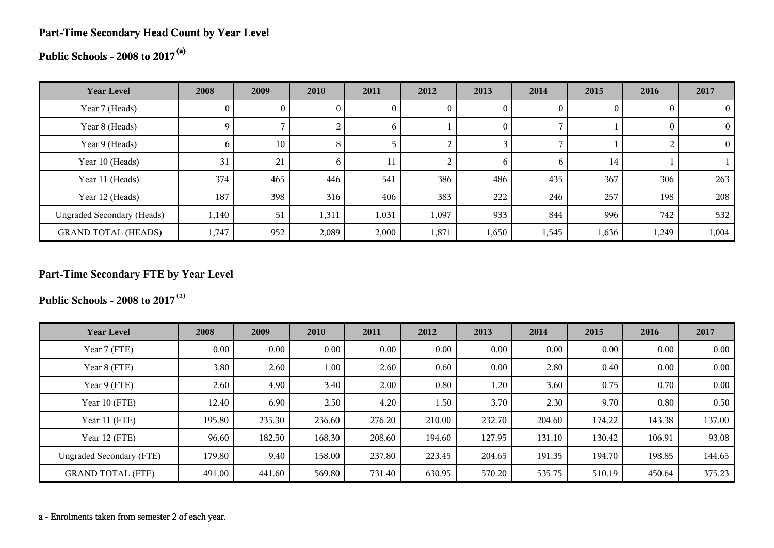### **Part-Time Secondary Head Count by Year Level**

**Public Schools - 2008 to 2017(a)**

| <b>Year Level</b>                 | 2008         | 2009            | 2010         | 2011         | 2012         | 2013           | 2014           | 2015  | 2016  | 2017           |
|-----------------------------------|--------------|-----------------|--------------|--------------|--------------|----------------|----------------|-------|-------|----------------|
| Year 7 (Heads)                    | $\mathbf{0}$ | 0               | U            | $\mathbf{0}$ | $\mathbf{0}$ | 0              | $\bf{0}$       |       |       | $\theta$       |
| Year 8 (Heads)                    | 9            |                 |              | $\sigma$     |              | $\overline{0}$ |                |       |       | $\overline{0}$ |
| Year 9 (Heads)                    | <sub>0</sub> | 10 <sup>°</sup> | 8            |              |              |                |                |       |       | $\Omega$       |
| Year 10 (Heads)                   | 31           | 21              | <sub>b</sub> |              |              | <sub>0</sub>   | $\mathfrak{h}$ | 14    |       |                |
| Year 11 (Heads)                   | 374          | 465             | 446          | 541          | 386          | 486            | 435            | 367   | 306   | 263            |
| Year 12 (Heads)                   | 187          | 398             | 316          | 406          | 383          | 222            | 246            | 257   | 198   | 208            |
| <b>Ungraded Secondary (Heads)</b> | 1,140        | 51              | 1,311        | 1,031        | 1,097        | 933            | 844            | 996   | 742   | 532            |
| <b>GRAND TOTAL (HEADS)</b>        | 1,747        | 952             | 2,089        | 2,000        | 1,871        | 1,650          | 1,545          | 1,636 | 1,249 | 1,004          |

## **Part-Time Secondary FTE by Year Level**

**Public Schools - 2008 to 2017**(a)

| <b>Year Level</b>               | 2008   | 2009     | 2010     | 2011   | 2012   | 2013   | 2014   | 2015   | 2016   | 2017     |
|---------------------------------|--------|----------|----------|--------|--------|--------|--------|--------|--------|----------|
| Year 7 (FTE)                    | 0.00   | $0.00\,$ | $0.00\,$ | 0.00   | 0.00   | 0.00   | 0.00   | 0.00   | 0.00   | $0.00\,$ |
| Year 8 (FTE)                    | 3.80   | 2.60     | 1.00     | 2.60   | 0.60   | 0.00   | 2.80   | 0.40   | 0.00   | 0.00     |
| Year 9 (FTE)                    | 2.60   | 4.90     | 3.40     | 2.00   | 0.80   | 1.20   | 3.60   | 0.75   | 0.70   | 0.00     |
| Year 10 (FTE)                   | 12.40  | 6.90     | 2.50     | 4.20   | 1.50   | 3.70   | 2.30   | 9.70   | 0.80   | 0.50     |
| Year 11 (FTE)                   | 195.80 | 235.30   | 236.60   | 276.20 | 210.00 | 232.70 | 204.60 | 174.22 | 143.38 | 137.00   |
| Year 12 (FTE)                   | 96.60  | 182.50   | 168.30   | 208.60 | 194.60 | 127.95 | 131.10 | 130.42 | 106.91 | 93.08    |
| <b>Ungraded Secondary (FTE)</b> | 179.80 | 9.40     | 158.00   | 237.80 | 223.45 | 204.65 | 191.35 | 194.70 | 198.85 | 144.65   |
| <b>GRAND TOTAL (FTE)</b>        | 491.00 | 441.60   | 569.80   | 731.40 | 630.95 | 570.20 | 535.75 | 510.19 | 450.64 | 375.23   |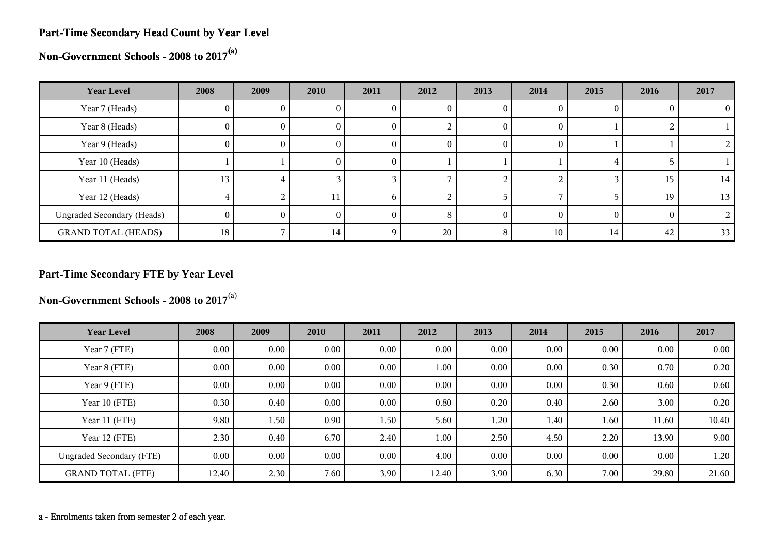#### **Part-Time Secondary Head Count by Year Level**

**Non-Government Schools - 2008 to 2017(a)**

| <b>Year Level</b>                 | 2008         | 2009 | 2010 | 2011     | 2012 | 2013 | 2014     | 2015 | 2016 | 2017 |
|-----------------------------------|--------------|------|------|----------|------|------|----------|------|------|------|
| Year 7 (Heads)                    | U.           |      |      | U        |      |      |          |      |      |      |
| Year 8 (Heads)                    | $\mathbf{0}$ | U.   | U    | U        |      | O    | 0        |      |      |      |
| Year 9 (Heads)                    | 0.           | U    | U    | U        | U    |      | $\theta$ |      |      |      |
| Year 10 (Heads)                   |              |      | 0.   | $\theta$ |      |      |          |      |      |      |
| Year 11 (Heads)                   | 13           | 4    |      |          |      |      |          |      | 15   | 14   |
| Year 12 (Heads)                   |              |      |      | n        |      |      |          |      | 19   | 13   |
| <b>Ungraded Secondary (Heads)</b> | $^{(1)}$     |      |      |          |      |      | $\Omega$ |      |      |      |
| <b>GRAND TOTAL (HEADS)</b>        | 18           |      | 14   |          | 20   | 8    | 10       | 14   | 42   | 33   |

## **Part-Time Secondary FTE by Year Level**

**Non-Government Schools - 2008 to 2017**(a)

| <b>Year Level</b>               | 2008  | 2009     | 2010     | 2011 | 2012     | 2013 | 2014 | 2015     | 2016     | 2017  |
|---------------------------------|-------|----------|----------|------|----------|------|------|----------|----------|-------|
| Year 7 (FTE)                    | 0.00  | $0.00\,$ | $0.00\,$ | 0.00 | 0.00     | 0.00 | 0.00 | 0.00     | 0.00     | 0.00  |
| Year 8 (FTE)                    | 0.00  | $0.00\,$ | $0.00\,$ | 0.00 | 1.00     | 0.00 | 0.00 | 0.30     | 0.70     | 0.20  |
| Year 9 (FTE)                    | 0.00  | 0.00     | $0.00\,$ | 0.00 | 0.00     | 0.00 | 0.00 | 0.30     | 0.60     | 0.60  |
| Year 10 (FTE)                   | 0.30  | 0.40     | $0.00\,$ | 0.00 | 0.80     | 0.20 | 0.40 | 2.60     | 3.00     | 0.20  |
| Year 11 (FTE)                   | 9.80  | 1.50     | 0.90     | 1.50 | 5.60     | 1.20 | 1.40 | 1.60     | 11.60    | 10.40 |
| Year 12 (FTE)                   | 2.30  | 0.40     | 6.70     | 2.40 | $1.00\,$ | 2.50 | 4.50 | 2.20     | 13.90    | 9.00  |
| <b>Ungraded Secondary (FTE)</b> | 0.00  | $0.00\,$ | $0.00\,$ | 0.00 | 4.00     | 0.00 | 0.00 | $0.00\,$ | $0.00\,$ | 1.20  |
| <b>GRAND TOTAL (FTE)</b>        | 12.40 | 2.30     | 7.60     | 3.90 | 12.40    | 3.90 | 6.30 | 7.00     | 29.80    | 21.60 |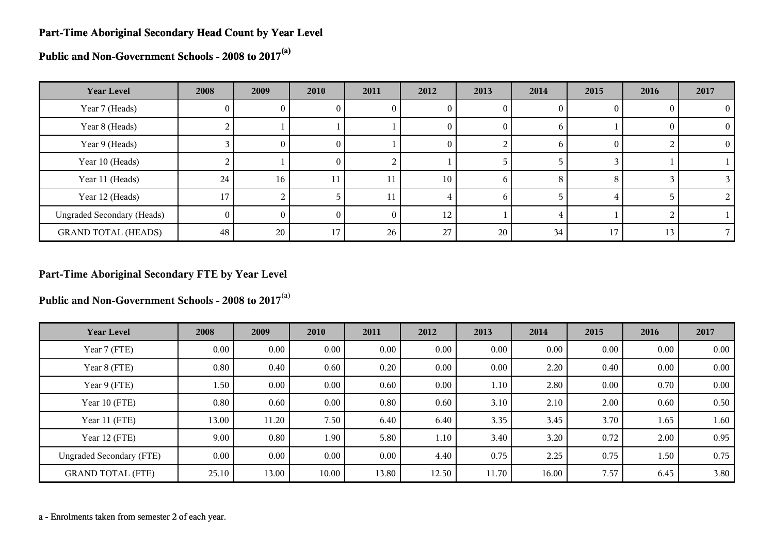#### **Part-Time Aboriginal Secondary Head Count by Year Level**

**Public and Non-Government Schools - 2008 to 2017(a)**

| <b>Year Level</b>                 | 2008     | 2009     | 2010 | 2011 | 2012 | 2013         | 2014         | 2015   | 2016 | 2017     |
|-----------------------------------|----------|----------|------|------|------|--------------|--------------|--------|------|----------|
| Year 7 (Heads)                    | 0        | v        |      | U    | U    | O            |              |        |      | 0        |
| Year 8 (Heads)                    |          |          |      |      | O    | $_{0}$       | h            |        |      | $\Omega$ |
| Year 9 (Heads)                    |          | $\theta$ | 0.   |      | U    |              | <sub>0</sub> | $_{0}$ |      | $\Omega$ |
| Year 10 (Heads)                   |          |          | 0    |      |      |              |              |        |      |          |
| Year 11 (Heads)                   | 24       | 16       | 11   | 11   | 10   | n            | 8            | 79     |      |          |
| Year 12 (Heads)                   | 17       |          |      | 11   |      | <sub>b</sub> |              |        |      |          |
| <b>Ungraded Secondary (Heads)</b> | $\Omega$ | 0        |      |      | 12   |              |              |        |      |          |
| <b>GRAND TOTAL (HEADS)</b>        | 48       | 20       | 17   | 26   | 27   | 20           | 34           | 17     | 13   |          |

#### **Part-Time Aboriginal Secondary FTE by Year Level**

**Public and Non-Government Schools - 2008 to 2017**(a)

| <b>Year Level</b>               | 2008     | 2009  | 2010     | 2011     | 2012  | 2013  | 2014  | 2015 | 2016 | 2017     |
|---------------------------------|----------|-------|----------|----------|-------|-------|-------|------|------|----------|
| Year 7 (FTE)                    | $0.00\,$ | 0.00  | $0.00\,$ | $0.00\,$ | 0.00  | 0.00  | 0.00  | 0.00 | 0.00 | $0.00\,$ |
| Year 8 (FTE)                    | 0.80     | 0.40  | 0.60     | 0.20     | 0.00  | 0.00  | 2.20  | 0.40 | 0.00 | $0.00\,$ |
| Year 9 (FTE)                    | 1.50     | 0.00  | $0.00\,$ | 0.60     | 0.00  | 1.10  | 2.80  | 0.00 | 0.70 | 0.00     |
| Year 10 (FTE)                   | 0.80     | 0.60  | 0.00     | 0.80     | 0.60  | 3.10  | 2.10  | 2.00 | 0.60 | 0.50     |
| Year 11 (FTE)                   | 13.00    | 11.20 | 7.50     | 6.40     | 6.40  | 3.35  | 3.45  | 3.70 | 1.65 | 1.60     |
| Year 12 (FTE)                   | 9.00     | 0.80  | 1.90     | 5.80     | 1.10  | 3.40  | 3.20  | 0.72 | 2.00 | 0.95     |
| <b>Ungraded Secondary (FTE)</b> | 0.00     | 0.00  | 0.00     | $0.00\,$ | 4.40  | 0.75  | 2.25  | 0.75 | 1.50 | 0.75     |
| <b>GRAND TOTAL (FTE)</b>        | 25.10    | 13.00 | 10.00    | 13.80    | 12.50 | 11.70 | 16.00 | 7.57 | 6.45 | 3.80     |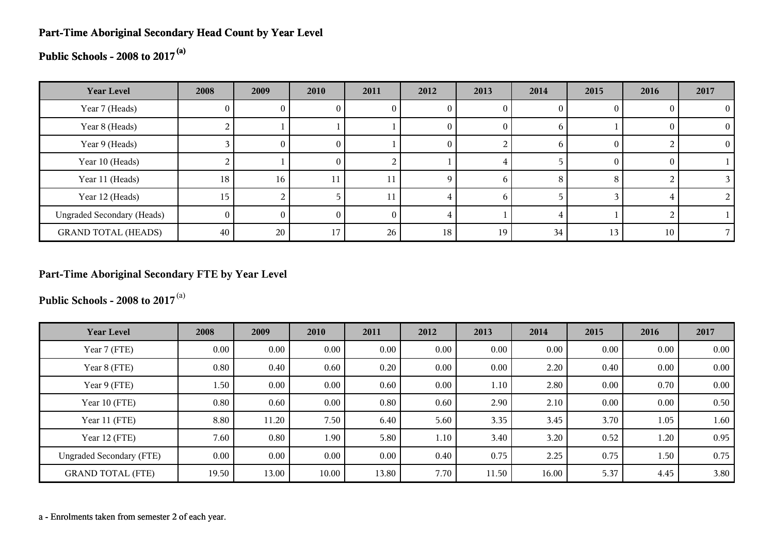#### **Part-Time Aboriginal Secondary Head Count by Year Level**

# **Public Schools - 2008 to 2017(a)**

| <b>Year Level</b>                 | 2008 | 2009            | 2010 | 2011 | 2012     | 2013         | 2014 | 2015   | 2016 | 2017     |
|-----------------------------------|------|-----------------|------|------|----------|--------------|------|--------|------|----------|
| Year 7 (Heads)                    | U.   |                 |      | U    |          |              | U    |        |      |          |
| Year 8 (Heads)                    | ▵    |                 |      |      | O        |              | b    |        |      | $\Omega$ |
| Year 9 (Heads)                    |      | $_{0}$          | O.   |      | $\theta$ |              | b    |        |      | $\theta$ |
| Year 10 (Heads)                   |      |                 | O.   |      |          | 4            |      | $_{0}$ |      |          |
| Year 11 (Heads)                   | 18   | 16 <sub>1</sub> | 11   |      |          | <sub>t</sub> | 8    | ⌒      |      |          |
| Year 12 (Heads)                   | 15   |                 |      |      |          | <sub>t</sub> |      |        |      |          |
| <b>Ungraded Secondary (Heads)</b> | 0    |                 |      | 0    |          |              |      |        |      |          |
| <b>GRAND TOTAL (HEADS)</b>        | 40   | 20              |      | 26   | 18       | 19           | 34   | 13     | 10   |          |

#### **Part-Time Aboriginal Secondary FTE by Year Level**

**Public Schools - 2008 to 2017**(a)

| <b>Year Level</b>               | 2008     | 2009     | 2010     | 2011     | 2012 | 2013  | 2014  | 2015 | 2016 | 2017 |
|---------------------------------|----------|----------|----------|----------|------|-------|-------|------|------|------|
| Year 7 (FTE)                    | $0.00\,$ | 0.00     | $0.00\,$ | 0.00     | 0.00 | 0.00  | 0.00  | 0.00 | 0.00 | 0.00 |
| Year 8 (FTE)                    | 0.80     | 0.40     | 0.60     | 0.20     | 0.00 | 0.00  | 2.20  | 0.40 | 0.00 | 0.00 |
| Year 9 (FTE)                    | 1.50     | $0.00\,$ | $0.00\,$ | 0.60     | 0.00 | 1.10  | 2.80  | 0.00 | 0.70 | 0.00 |
| Year 10 (FTE)                   | 0.80     | 0.60     | $0.00\,$ | 0.80     | 0.60 | 2.90  | 2.10  | 0.00 | 0.00 | 0.50 |
| Year 11 (FTE)                   | 8.80     | 11.20    | 7.50     | 6.40     | 5.60 | 3.35  | 3.45  | 3.70 | 1.05 | 1.60 |
| Year 12 (FTE)                   | 7.60     | 0.80     | 1.90     | 5.80     | 1.10 | 3.40  | 3.20  | 0.52 | 1.20 | 0.95 |
| <b>Ungraded Secondary (FTE)</b> | 0.00     | $0.00\,$ | $0.00\,$ | $0.00\,$ | 0.40 | 0.75  | 2.25  | 0.75 | 1.50 | 0.75 |
| <b>GRAND TOTAL (FTE)</b>        | 19.50    | 13.00    | 10.00    | 13.80    | 7.70 | 11.50 | 16.00 | 5.37 | 4.45 | 3.80 |

a - Enrolments taken from semester 2 of each year.